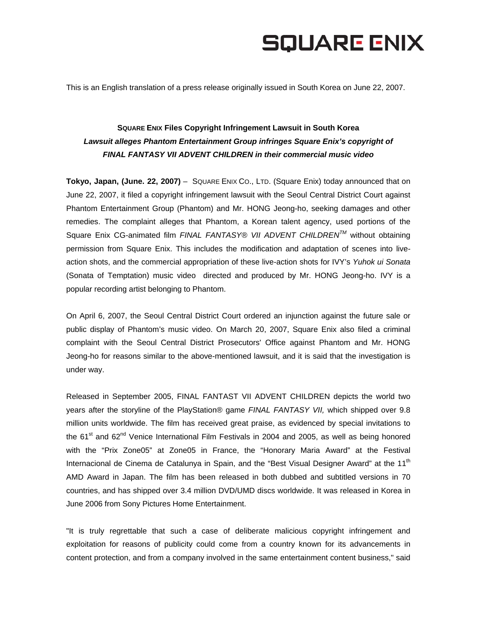## **SQUARE ENIX**

This is an English translation of a press release originally issued in South Korea on June 22, 2007.

## **SQUARE ENIX Files Copyright Infringement Lawsuit in South Korea**  Lawsuit alleges Phantom Entertainment Group infringes Square Enix's copyright of *FINAL FANTASY VII ADVENT CHILDREN in their commercial music video*

**Tokyo, Japan, (June. 22, 2007)** – SQUARE ENIX CO., LTD. (Square Enix) today announced that on June 22, 2007, it filed a copyright infringement lawsuit with the Seoul Central District Court against Phantom Entertainment Group (Phantom) and Mr. HONG Jeong-ho, seeking damages and other remedies. The complaint alleges that Phantom, a Korean talent agency, used portions of the Square Enix CG-animated film *FINAL FANTASY® VII ADVENT CHILDRENTM* without obtaining permission from Square Enix. This includes the modification and adaptation of scenes into liveaction shots, and the commercial appropriation of these live-action shots for IVY's *Yuhok ui Sonata* (Sonata of Temptation) music video directed and produced by Mr. HONG Jeong-ho. IVY is a popular recording artist belonging to Phantom.

On April 6, 2007, the Seoul Central District Court ordered an injunction against the future sale or public display of Phantom's music video. On March 20, 2007, Square Enix also filed a criminal complaint with the Seoul Central District Prosecutors' Office against Phantom and Mr. HONG Jeong-ho for reasons similar to the above-mentioned lawsuit, and it is said that the investigation is under way.

Released in September 2005, FINAL FANTAST VII ADVENT CHILDREN depicts the world two years after the storyline of the PlayStation® game *FINAL FANTASY VII,* which shipped over 9.8 million units worldwide. The film has received great praise, as evidenced by special invitations to the  $61<sup>st</sup>$  and  $62<sup>nd</sup>$  Venice International Film Festivals in 2004 and 2005, as well as being honored with the "Prix Zone05" at Zone05 in France, the "Honorary Maria Award" at the Festival Internacional de Cinema de Catalunya in Spain, and the "Best Visual Designer Award" at the 11<sup>th</sup> AMD Award in Japan. The film has been released in both dubbed and subtitled versions in 70 countries, and has shipped over 3.4 million DVD/UMD discs worldwide. It was released in Korea in June 2006 from Sony Pictures Home Entertainment.

"It is truly regrettable that such a case of deliberate malicious copyright infringement and exploitation for reasons of publicity could come from a country known for its advancements in content protection, and from a company involved in the same entertainment content business," said